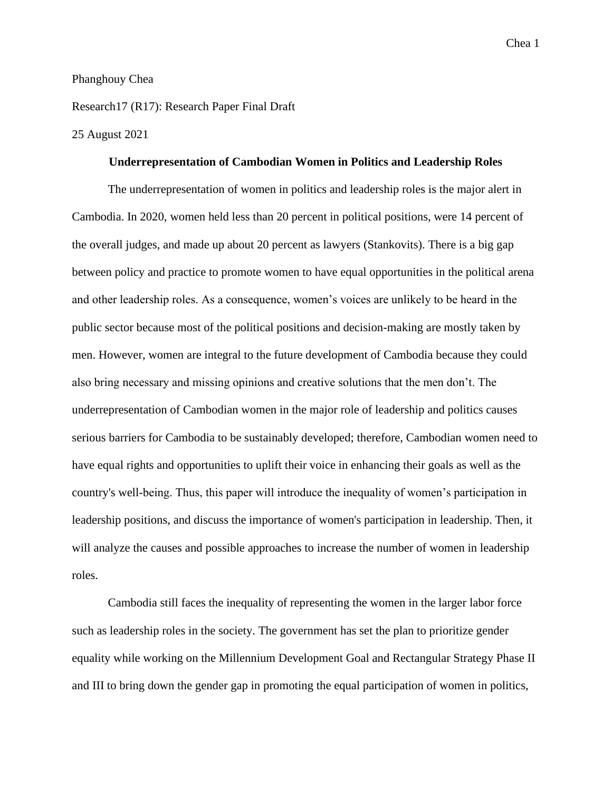## Phanghouy Chea

Research17 (R17): Research Paper Final Draft

## 25 August 2021

## **Underrepresentation of Cambodian Women in Politics and Leadership Roles**

The underrepresentation of women in politics and leadership roles is the major alert in Cambodia. In 2020, women held less than 20 percent in political positions, were 14 percent of the overall judges, and made up about 20 percent as lawyers (Stankovits). There is a big gap between policy and practice to promote women to have equal opportunities in the political arena and other leadership roles. As a consequence, women's voices are unlikely to be heard in the public sector because most of the political positions and decision-making are mostly taken by men. However, women are integral to the future development of Cambodia because they could also bring necessary and missing opinions and creative solutions that the men don't. The underrepresentation of Cambodian women in the major role of leadership and politics causes serious barriers for Cambodia to be sustainably developed; therefore, Cambodian women need to have equal rights and opportunities to uplift their voice in enhancing their goals as well as the country's well-being. Thus, this paper will introduce the inequality of women's participation in leadership positions, and discuss the importance of women's participation in leadership. Then, it will analyze the causes and possible approaches to increase the number of women in leadership roles.

Cambodia still faces the inequality of representing the women in the larger labor force such as leadership roles in the society. The government has set the plan to prioritize gender equality while working on the Millennium Development Goal and Rectangular Strategy Phase II and III to bring down the gender gap in promoting the equal participation of women in politics,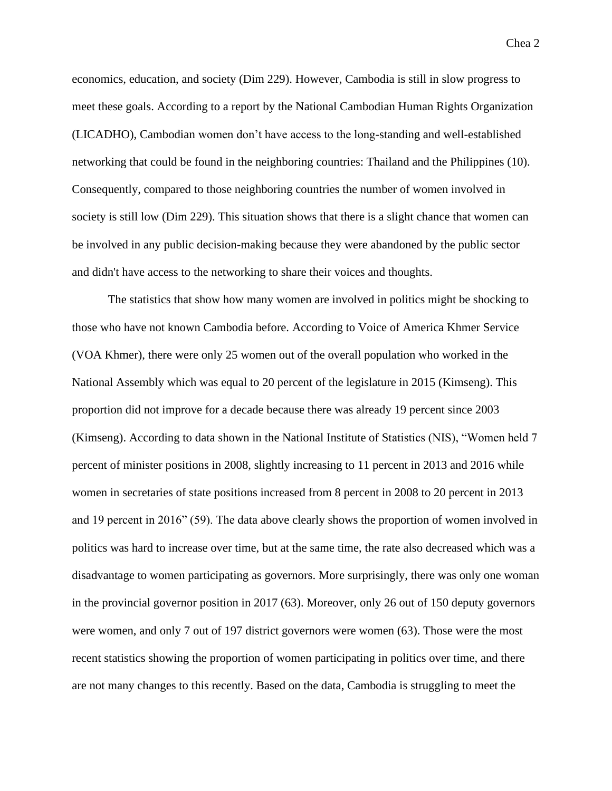economics, education, and society (Dim 229). However, Cambodia is still in slow progress to meet these goals. According to a report by the National Cambodian Human Rights Organization (LICADHO), Cambodian women don't have access to the long-standing and well-established networking that could be found in the neighboring countries: Thailand and the Philippines (10). Consequently, compared to those neighboring countries the number of women involved in society is still low (Dim 229). This situation shows that there is a slight chance that women can be involved in any public decision-making because they were abandoned by the public sector and didn't have access to the networking to share their voices and thoughts.

The statistics that show how many women are involved in politics might be shocking to those who have not known Cambodia before. According to Voice of America Khmer Service (VOA Khmer), there were only 25 women out of the overall population who worked in the National Assembly which was equal to 20 percent of the legislature in 2015 (Kimseng). This proportion did not improve for a decade because there was already 19 percent since 2003 (Kimseng). According to data shown in the National Institute of Statistics (NIS), "Women held 7 percent of minister positions in 2008, slightly increasing to 11 percent in 2013 and 2016 while women in secretaries of state positions increased from 8 percent in 2008 to 20 percent in 2013 and 19 percent in 2016" (59). The data above clearly shows the proportion of women involved in politics was hard to increase over time, but at the same time, the rate also decreased which was a disadvantage to women participating as governors. More surprisingly, there was only one woman in the provincial governor position in 2017 (63). Moreover, only 26 out of 150 deputy governors were women, and only 7 out of 197 district governors were women (63). Those were the most recent statistics showing the proportion of women participating in politics over time, and there are not many changes to this recently. Based on the data, Cambodia is struggling to meet the

Chea 2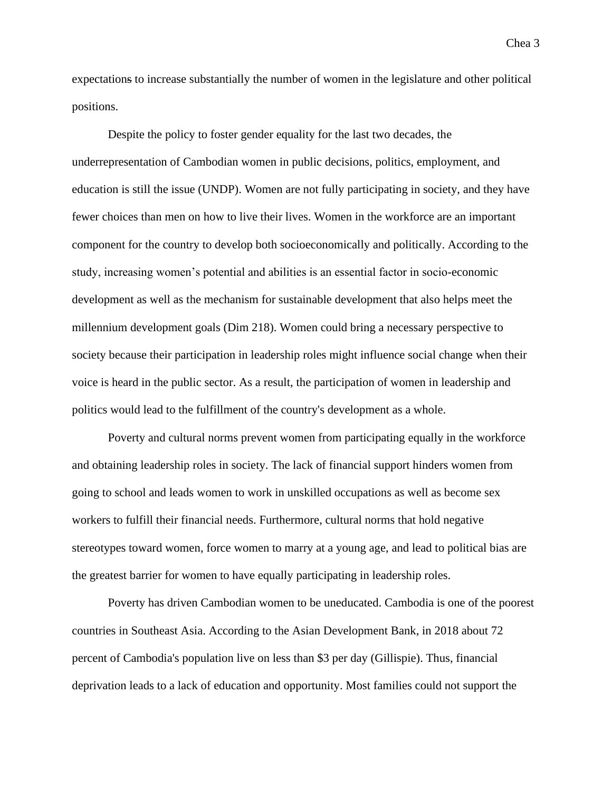expectations to increase substantially the number of women in the legislature and other political positions.

Despite the policy to foster gender equality for the last two decades, the underrepresentation of Cambodian women in public decisions, politics, employment, and education is still the issue (UNDP). Women are not fully participating in society, and they have fewer choices than men on how to live their lives. Women in the workforce are an important component for the country to develop both socioeconomically and politically. According to the study, increasing women's potential and abilities is an essential factor in socio-economic development as well as the mechanism for sustainable development that also helps meet the millennium development goals (Dim 218). Women could bring a necessary perspective to society because their participation in leadership roles might influence social change when their voice is heard in the public sector. As a result, the participation of women in leadership and politics would lead to the fulfillment of the country's development as a whole.

Poverty and cultural norms prevent women from participating equally in the workforce and obtaining leadership roles in society. The lack of financial support hinders women from going to school and leads women to work in unskilled occupations as well as become sex workers to fulfill their financial needs. Furthermore, cultural norms that hold negative stereotypes toward women, force women to marry at a young age, and lead to political bias are the greatest barrier for women to have equally participating in leadership roles.

Poverty has driven Cambodian women to be uneducated. Cambodia is one of the poorest countries in Southeast Asia. According to the Asian Development Bank, in 2018 about 72 percent of Cambodia's population live on less than \$3 per day (Gillispie). Thus, financial deprivation leads to a lack of education and opportunity. Most families could not support the

Chea 3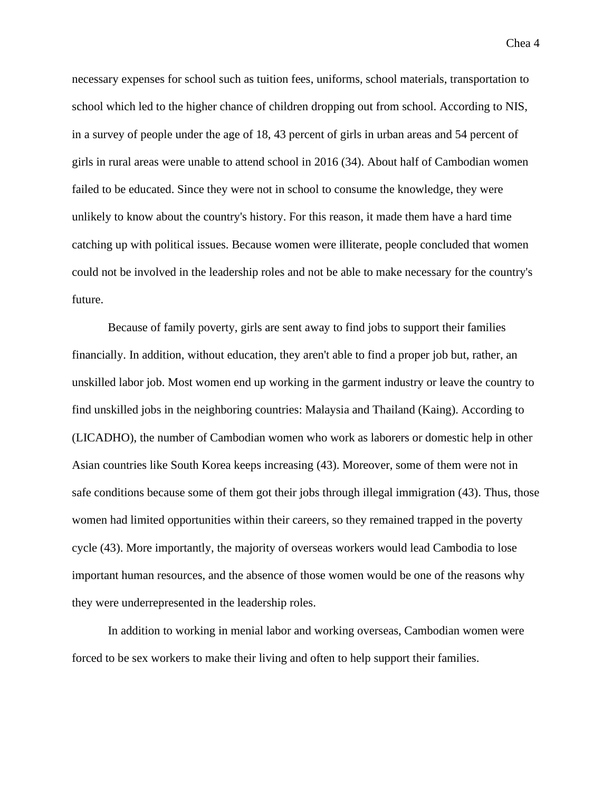necessary expenses for school such as tuition fees, uniforms, school materials, transportation to school which led to the higher chance of children dropping out from school. According to NIS, in a survey of people under the age of 18, 43 percent of girls in urban areas and 54 percent of girls in rural areas were unable to attend school in 2016 (34). About half of Cambodian women failed to be educated. Since they were not in school to consume the knowledge, they were unlikely to know about the country's history. For this reason, it made them have a hard time catching up with political issues. Because women were illiterate, people concluded that women could not be involved in the leadership roles and not be able to make necessary for the country's future.

Because of family poverty, girls are sent away to find jobs to support their families financially. In addition, without education, they aren't able to find a proper job but, rather, an unskilled labor job. Most women end up working in the garment industry or leave the country to find unskilled jobs in the neighboring countries: Malaysia and Thailand (Kaing). According to (LICADHO), the number of Cambodian women who work as laborers or domestic help in other Asian countries like South Korea keeps increasing (43). Moreover, some of them were not in safe conditions because some of them got their jobs through illegal immigration (43). Thus, those women had limited opportunities within their careers, so they remained trapped in the poverty cycle (43). More importantly, the majority of overseas workers would lead Cambodia to lose important human resources, and the absence of those women would be one of the reasons why they were underrepresented in the leadership roles.

In addition to working in menial labor and working overseas, Cambodian women were forced to be sex workers to make their living and often to help support their families.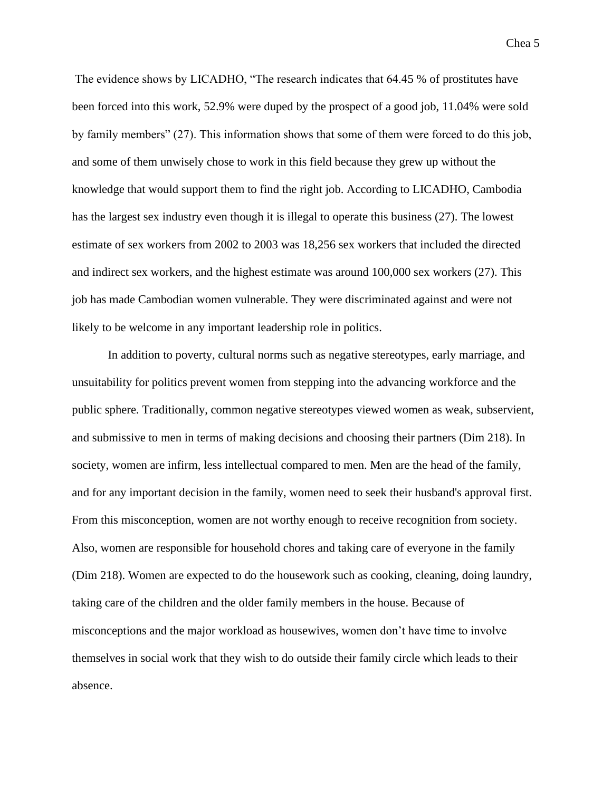The evidence shows by LICADHO, "The research indicates that 64.45 % of prostitutes have been forced into this work, 52.9% were duped by the prospect of a good job, 11.04% were sold by family members" (27). This information shows that some of them were forced to do this job, and some of them unwisely chose to work in this field because they grew up without the knowledge that would support them to find the right job. According to LICADHO, Cambodia has the largest sex industry even though it is illegal to operate this business (27). The lowest estimate of sex workers from 2002 to 2003 was 18,256 sex workers that included the directed and indirect sex workers, and the highest estimate was around 100,000 sex workers (27). This job has made Cambodian women vulnerable. They were discriminated against and were not likely to be welcome in any important leadership role in politics.

In addition to poverty, cultural norms such as negative stereotypes, early marriage, and unsuitability for politics prevent women from stepping into the advancing workforce and the public sphere. Traditionally, common negative stereotypes viewed women as weak, subservient, and submissive to men in terms of making decisions and choosing their partners (Dim 218). In society, women are infirm, less intellectual compared to men. Men are the head of the family, and for any important decision in the family, women need to seek their husband's approval first. From this misconception, women are not worthy enough to receive recognition from society. Also, women are responsible for household chores and taking care of everyone in the family (Dim 218). Women are expected to do the housework such as cooking, cleaning, doing laundry, taking care of the children and the older family members in the house. Because of misconceptions and the major workload as housewives, women don't have time to involve themselves in social work that they wish to do outside their family circle which leads to their absence.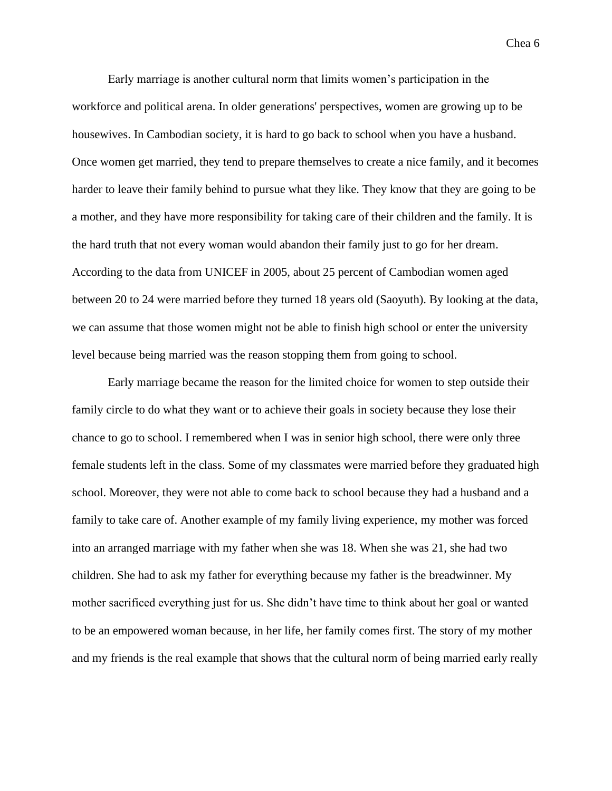Early marriage is another cultural norm that limits women's participation in the workforce and political arena. In older generations' perspectives, women are growing up to be housewives. In Cambodian society, it is hard to go back to school when you have a husband. Once women get married, they tend to prepare themselves to create a nice family, and it becomes harder to leave their family behind to pursue what they like. They know that they are going to be a mother, and they have more responsibility for taking care of their children and the family. It is the hard truth that not every woman would abandon their family just to go for her dream. According to the data from UNICEF in 2005, about 25 percent of Cambodian women aged between 20 to 24 were married before they turned 18 years old (Saoyuth). By looking at the data, we can assume that those women might not be able to finish high school or enter the university level because being married was the reason stopping them from going to school.

Early marriage became the reason for the limited choice for women to step outside their family circle to do what they want or to achieve their goals in society because they lose their chance to go to school. I remembered when I was in senior high school, there were only three female students left in the class. Some of my classmates were married before they graduated high school. Moreover, they were not able to come back to school because they had a husband and a family to take care of. Another example of my family living experience, my mother was forced into an arranged marriage with my father when she was 18. When she was 21, she had two children. She had to ask my father for everything because my father is the breadwinner. My mother sacrificed everything just for us. She didn't have time to think about her goal or wanted to be an empowered woman because, in her life, her family comes first. The story of my mother and my friends is the real example that shows that the cultural norm of being married early really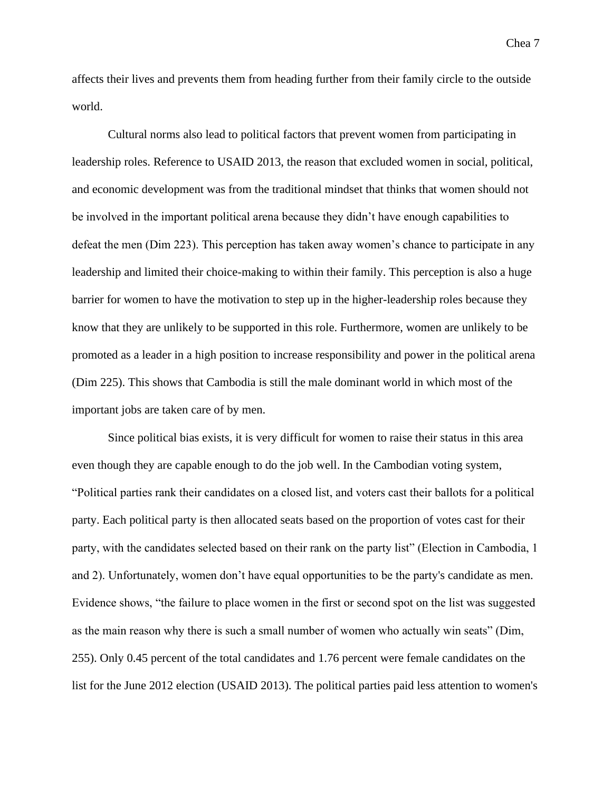affects their lives and prevents them from heading further from their family circle to the outside world.

Cultural norms also lead to political factors that prevent women from participating in leadership roles. Reference to USAID 2013, the reason that excluded women in social, political, and economic development was from the traditional mindset that thinks that women should not be involved in the important political arena because they didn't have enough capabilities to defeat the men (Dim 223). This perception has taken away women's chance to participate in any leadership and limited their choice-making to within their family. This perception is also a huge barrier for women to have the motivation to step up in the higher-leadership roles because they know that they are unlikely to be supported in this role. Furthermore, women are unlikely to be promoted as a leader in a high position to increase responsibility and power in the political arena (Dim 225). This shows that Cambodia is still the male dominant world in which most of the important jobs are taken care of by men.

Since political bias exists, it is very difficult for women to raise their status in this area even though they are capable enough to do the job well. In the Cambodian voting system, "Political parties rank their candidates on a closed list, and voters cast their ballots for a political party. Each political party is then allocated seats based on the proportion of votes cast for their party, with the candidates selected based on their rank on the party list" (Election in Cambodia, 1 and 2). Unfortunately, women don't have equal opportunities to be the party's candidate as men. Evidence shows, "the failure to place women in the first or second spot on the list was suggested as the main reason why there is such a small number of women who actually win seats" (Dim, 255). Only 0.45 percent of the total candidates and 1.76 percent were female candidates on the list for the June 2012 election (USAID 2013). The political parties paid less attention to women's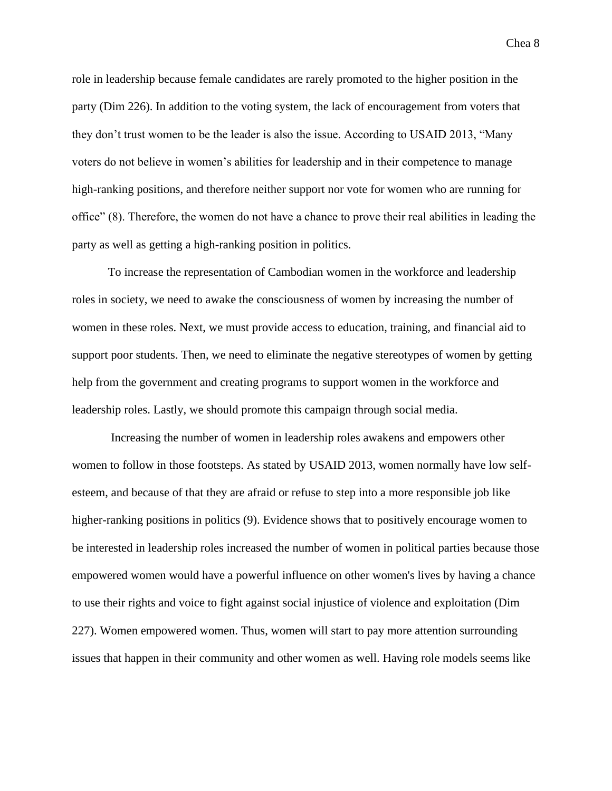role in leadership because female candidates are rarely promoted to the higher position in the party (Dim 226). In addition to the voting system, the lack of encouragement from voters that they don't trust women to be the leader is also the issue. According to USAID 2013, "Many voters do not believe in women's abilities for leadership and in their competence to manage high-ranking positions, and therefore neither support nor vote for women who are running for office" (8). Therefore, the women do not have a chance to prove their real abilities in leading the party as well as getting a high-ranking position in politics.

To increase the representation of Cambodian women in the workforce and leadership roles in society, we need to awake the consciousness of women by increasing the number of women in these roles. Next, we must provide access to education, training, and financial aid to support poor students. Then, we need to eliminate the negative stereotypes of women by getting help from the government and creating programs to support women in the workforce and leadership roles. Lastly, we should promote this campaign through social media.

Increasing the number of women in leadership roles awakens and empowers other women to follow in those footsteps. As stated by USAID 2013, women normally have low selfesteem, and because of that they are afraid or refuse to step into a more responsible job like higher-ranking positions in politics (9). Evidence shows that to positively encourage women to be interested in leadership roles increased the number of women in political parties because those empowered women would have a powerful influence on other women's lives by having a chance to use their rights and voice to fight against social injustice of violence and exploitation (Dim 227). Women empowered women. Thus, women will start to pay more attention surrounding issues that happen in their community and other women as well. Having role models seems like

Chea 8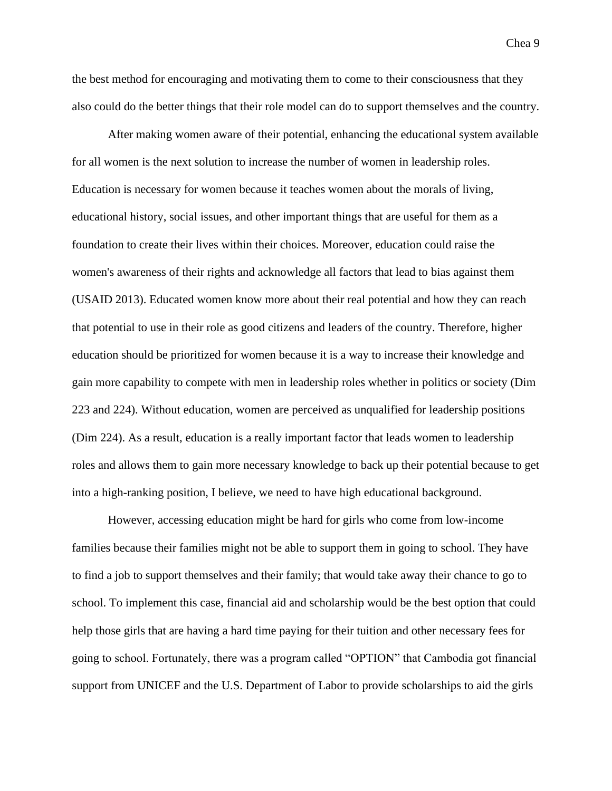the best method for encouraging and motivating them to come to their consciousness that they also could do the better things that their role model can do to support themselves and the country.

After making women aware of their potential, enhancing the educational system available for all women is the next solution to increase the number of women in leadership roles. Education is necessary for women because it teaches women about the morals of living, educational history, social issues, and other important things that are useful for them as a foundation to create their lives within their choices. Moreover, education could raise the women's awareness of their rights and acknowledge all factors that lead to bias against them (USAID 2013). Educated women know more about their real potential and how they can reach that potential to use in their role as good citizens and leaders of the country. Therefore, higher education should be prioritized for women because it is a way to increase their knowledge and gain more capability to compete with men in leadership roles whether in politics or society (Dim 223 and 224). Without education, women are perceived as unqualified for leadership positions (Dim 224). As a result, education is a really important factor that leads women to leadership roles and allows them to gain more necessary knowledge to back up their potential because to get into a high-ranking position, I believe, we need to have high educational background.

However, accessing education might be hard for girls who come from low-income families because their families might not be able to support them in going to school. They have to find a job to support themselves and their family; that would take away their chance to go to school. To implement this case, financial aid and scholarship would be the best option that could help those girls that are having a hard time paying for their tuition and other necessary fees for going to school. Fortunately, there was a program called "OPTION" that Cambodia got financial support from UNICEF and the U.S. Department of Labor to provide scholarships to aid the girls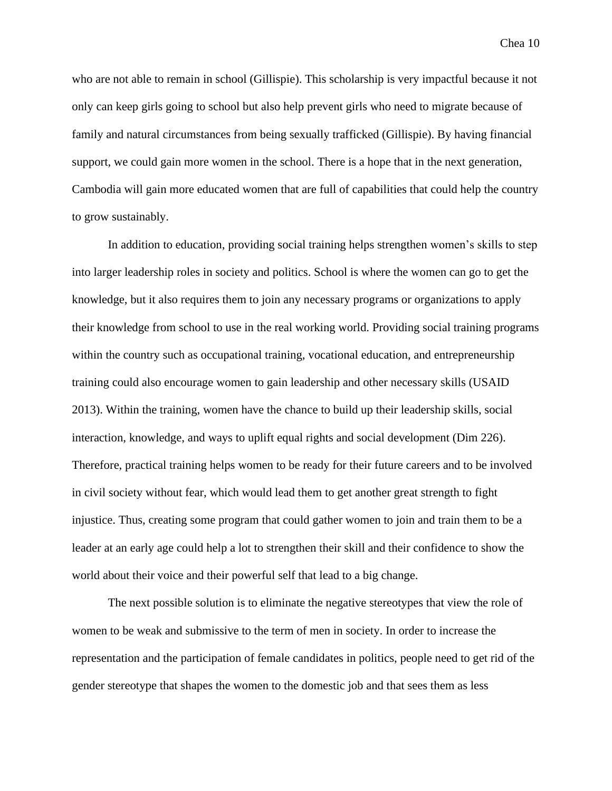who are not able to remain in school (Gillispie). This scholarship is very impactful because it not only can keep girls going to school but also help prevent girls who need to migrate because of family and natural circumstances from being sexually trafficked (Gillispie). By having financial support, we could gain more women in the school. There is a hope that in the next generation, Cambodia will gain more educated women that are full of capabilities that could help the country to grow sustainably.

In addition to education, providing social training helps strengthen women's skills to step into larger leadership roles in society and politics. School is where the women can go to get the knowledge, but it also requires them to join any necessary programs or organizations to apply their knowledge from school to use in the real working world. Providing social training programs within the country such as occupational training, vocational education, and entrepreneurship training could also encourage women to gain leadership and other necessary skills (USAID 2013). Within the training, women have the chance to build up their leadership skills, social interaction, knowledge, and ways to uplift equal rights and social development (Dim 226). Therefore, practical training helps women to be ready for their future careers and to be involved in civil society without fear, which would lead them to get another great strength to fight injustice. Thus, creating some program that could gather women to join and train them to be a leader at an early age could help a lot to strengthen their skill and their confidence to show the world about their voice and their powerful self that lead to a big change.

The next possible solution is to eliminate the negative stereotypes that view the role of women to be weak and submissive to the term of men in society. In order to increase the representation and the participation of female candidates in politics, people need to get rid of the gender stereotype that shapes the women to the domestic job and that sees them as less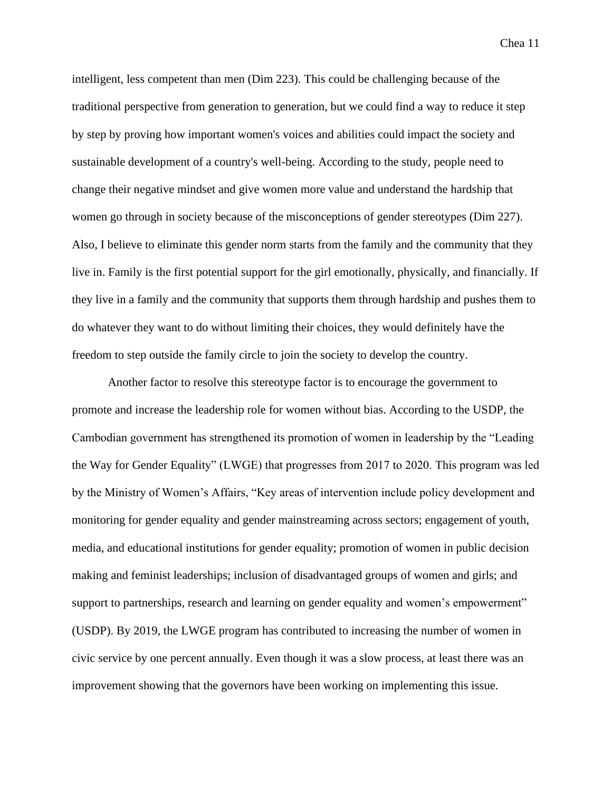intelligent, less competent than men (Dim 223). This could be challenging because of the traditional perspective from generation to generation, but we could find a way to reduce it step by step by proving how important women's voices and abilities could impact the society and sustainable development of a country's well-being. According to the study, people need to change their negative mindset and give women more value and understand the hardship that women go through in society because of the misconceptions of gender stereotypes (Dim 227). Also, I believe to eliminate this gender norm starts from the family and the community that they live in. Family is the first potential support for the girl emotionally, physically, and financially. If they live in a family and the community that supports them through hardship and pushes them to do whatever they want to do without limiting their choices, they would definitely have the freedom to step outside the family circle to join the society to develop the country.

Another factor to resolve this stereotype factor is to encourage the government to promote and increase the leadership role for women without bias. According to the USDP, the Cambodian government has strengthened its promotion of women in leadership by the "Leading the Way for Gender Equality" (LWGE) that progresses from 2017 to 2020. This program was led by the Ministry of Women's Affairs, "Key areas of intervention include policy development and monitoring for gender equality and gender mainstreaming across sectors; engagement of youth, media, and educational institutions for gender equality; promotion of women in public decision making and feminist leaderships; inclusion of disadvantaged groups of women and girls; and support to partnerships, research and learning on gender equality and women's empowerment" (USDP). By 2019, the LWGE program has contributed to increasing the number of women in civic service by one percent annually. Even though it was a slow process, at least there was an improvement showing that the governors have been working on implementing this issue.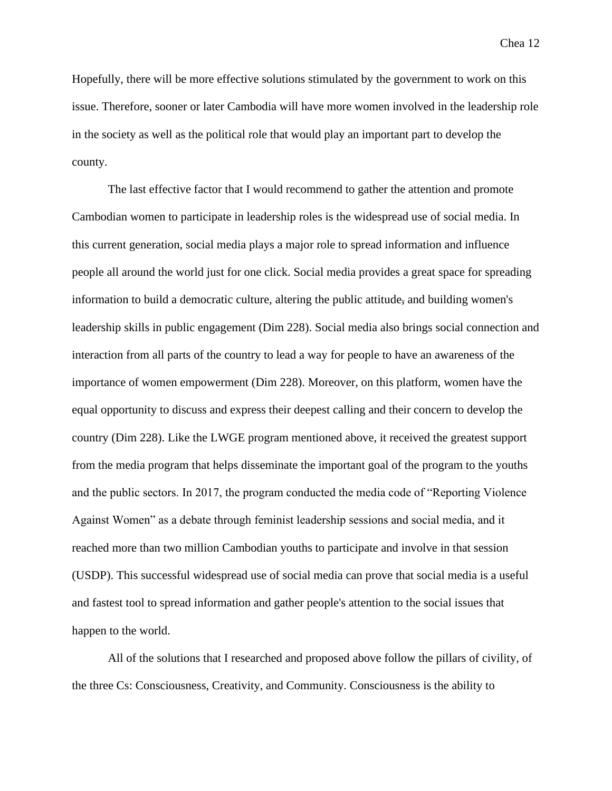Hopefully, there will be more effective solutions stimulated by the government to work on this issue. Therefore, sooner or later Cambodia will have more women involved in the leadership role in the society as well as the political role that would play an important part to develop the county.

The last effective factor that I would recommend to gather the attention and promote Cambodian women to participate in leadership roles is the widespread use of social media. In this current generation, social media plays a major role to spread information and influence people all around the world just for one click. Social media provides a great space for spreading information to build a democratic culture, altering the public attitude, and building women's leadership skills in public engagement (Dim 228). Social media also brings social connection and interaction from all parts of the country to lead a way for people to have an awareness of the importance of women empowerment (Dim 228). Moreover, on this platform, women have the equal opportunity to discuss and express their deepest calling and their concern to develop the country (Dim 228). Like the LWGE program mentioned above, it received the greatest support from the media program that helps disseminate the important goal of the program to the youths and the public sectors. In 2017, the program conducted the media code of "Reporting Violence Against Women" as a debate through feminist leadership sessions and social media, and it reached more than two million Cambodian youths to participate and involve in that session (USDP). This successful widespread use of social media can prove that social media is a useful and fastest tool to spread information and gather people's attention to the social issues that happen to the world.

All of the solutions that I researched and proposed above follow the pillars of civility, of the three Cs: Consciousness, Creativity, and Community. Consciousness is the ability to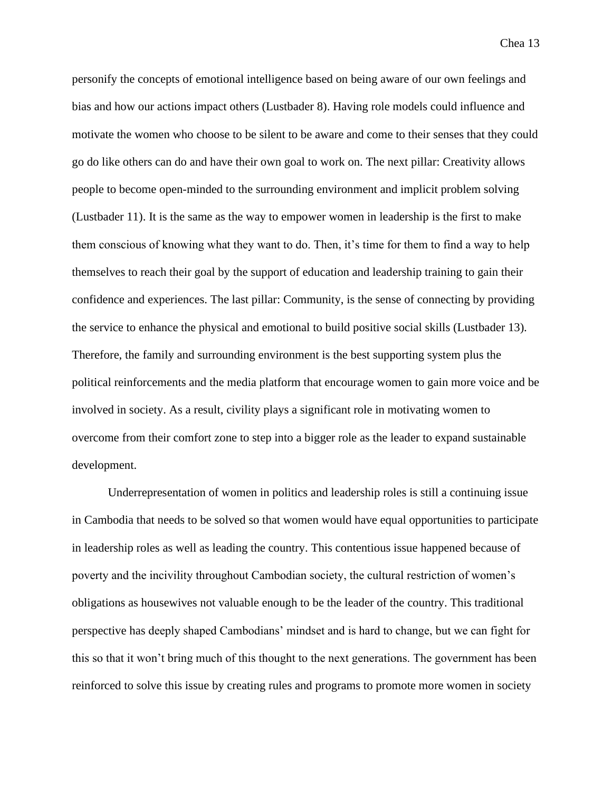personify the concepts of emotional intelligence based on being aware of our own feelings and bias and how our actions impact others (Lustbader 8). Having role models could influence and motivate the women who choose to be silent to be aware and come to their senses that they could go do like others can do and have their own goal to work on. The next pillar: Creativity allows people to become open-minded to the surrounding environment and implicit problem solving (Lustbader 11). It is the same as the way to empower women in leadership is the first to make them conscious of knowing what they want to do. Then, it's time for them to find a way to help themselves to reach their goal by the support of education and leadership training to gain their confidence and experiences. The last pillar: Community, is the sense of connecting by providing the service to enhance the physical and emotional to build positive social skills (Lustbader 13). Therefore, the family and surrounding environment is the best supporting system plus the political reinforcements and the media platform that encourage women to gain more voice and be involved in society. As a result, civility plays a significant role in motivating women to overcome from their comfort zone to step into a bigger role as the leader to expand sustainable development.

Underrepresentation of women in politics and leadership roles is still a continuing issue in Cambodia that needs to be solved so that women would have equal opportunities to participate in leadership roles as well as leading the country. This contentious issue happened because of poverty and the incivility throughout Cambodian society, the cultural restriction of women's obligations as housewives not valuable enough to be the leader of the country. This traditional perspective has deeply shaped Cambodians' mindset and is hard to change, but we can fight for this so that it won't bring much of this thought to the next generations. The government has been reinforced to solve this issue by creating rules and programs to promote more women in society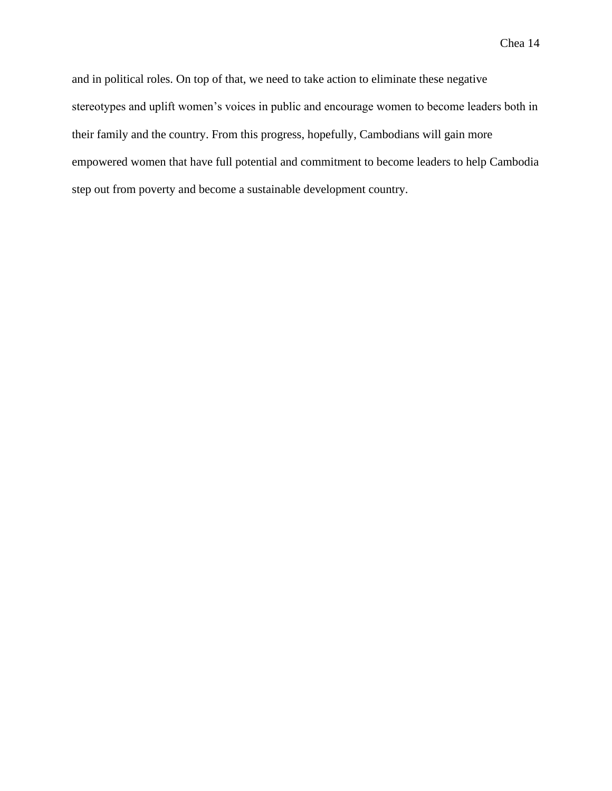and in political roles. On top of that, we need to take action to eliminate these negative stereotypes and uplift women's voices in public and encourage women to become leaders both in their family and the country. From this progress, hopefully, Cambodians will gain more empowered women that have full potential and commitment to become leaders to help Cambodia step out from poverty and become a sustainable development country.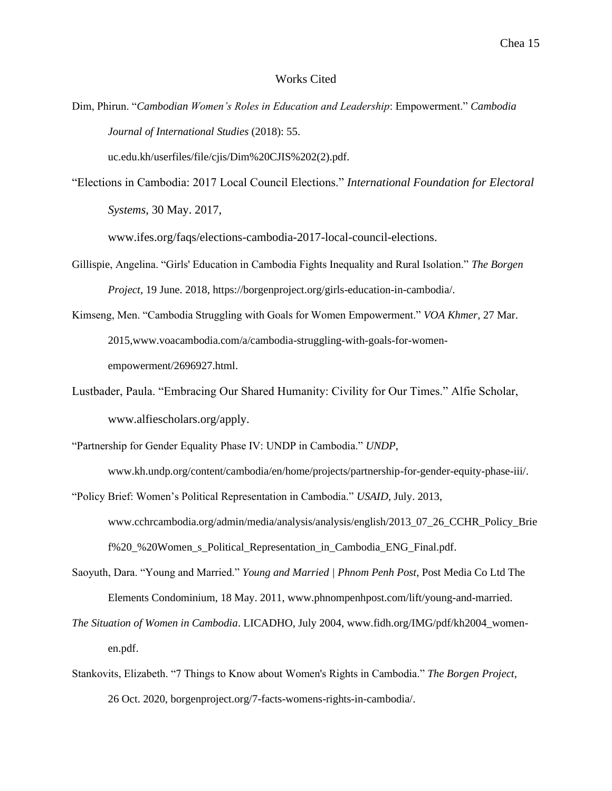## Works Cited

- Dim, Phirun. "*Cambodian Women's Roles in Education and Leadership*: Empowerment." *Cambodia Journal of International Studies* (2018): 55. uc.edu.kh/userfiles/file/cjis/Dim%20CJIS%202(2).pdf.
- "Elections in Cambodia: 2017 Local Council Elections." *International Foundation for Electoral Systems*, 30 May. 2017,

www.ifes.org/faqs/elections-cambodia-2017-local-council-elections.

- Gillispie, Angelina. "Girls' Education in Cambodia Fights Inequality and Rural Isolation." *The Borgen Project*, 19 June. 2018, https://borgenproject.org/girls-education-in-cambodia/.
- Kimseng, Men. "Cambodia Struggling with Goals for Women Empowerment." *VOA Khmer*, 27 Mar. 2015,www.voacambodia.com/a/cambodia-struggling-with-goals-for-womenempowerment/2696927.html.
- Lustbader, Paula. "Embracing Our Shared Humanity: Civility for Our Times." Alfie Scholar, www.alfiescholars.org/apply.
- "Partnership for Gender Equality Phase IV: UNDP in Cambodia." *UNDP*, www.kh.undp.org/content/cambodia/en/home/projects/partnership-for-gender-equity-phase-iii/.
- "Policy Brief: Women's Political Representation in Cambodia." *USAID*, July. 2013, www.cchrcambodia.org/admin/media/analysis/analysis/english/2013\_07\_26\_CCHR\_Policy\_Brie f%20\_%20Women\_s\_Political\_Representation\_in\_Cambodia\_ENG\_Final.pdf.
- Saoyuth, Dara. "Young and Married." *Young and Married | Phnom Penh Post*, Post Media Co Ltd The Elements Condominium, 18 May. 2011, www.phnompenhpost.com/lift/young-and-married.
- *The Situation of Women in Cambodia*. LICADHO, July 2004, www.fidh.org/IMG/pdf/kh2004\_womenen.pdf.
- Stankovits, Elizabeth. "7 Things to Know about Women's Rights in Cambodia." *The Borgen Project*, 26 Oct. 2020, borgenproject.org/7-facts-womens-rights-in-cambodia/.